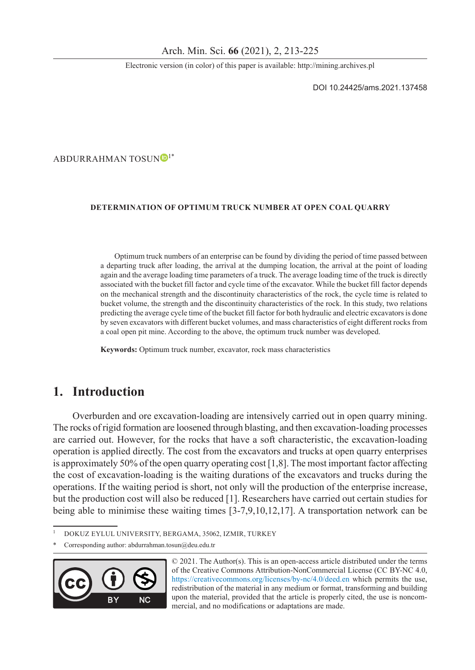Electronic version (in color) of this paper is available: http://mining.archives.pl

DOI 10.24425/ams.2021.137458

ABDURRAHMAN TOSUNO<sup>[1](https://orcid.org/0000-0002-3829-4417)\*</sup>

#### **Determination of Optimum Truck Number at Open Coal Quarry**

Optimum truck numbers of an enterprise can be found by dividing the period of time passed between a departing truck after loading, the arrival at the dumping location, the arrival at the point of loading again and the average loading time parameters of a truck. The average loading time of the truck is directly associated with the bucket fill factor and cycle time of the excavator. While the bucket fill factor depends on the mechanical strength and the discontinuity characteristics of the rock, the cycle time is related to bucket volume, the strength and the discontinuity characteristics of the rock. In this study, two relations predicting the average cycle time of the bucket fill factor for both hydraulic and electric excavators is done by seven excavators with different bucket volumes, and mass characteristics of eight different rocks from a coal open pit mine. According to the above, the optimum truck number was developed.

**Keywords:** Optimum truck number, excavator, rock mass characteristics

# **1. Introduction**

Overburden and ore excavation-loading are intensively carried out in open quarry mining. The rocks of rigid formation are loosened through blasting, and then excavation-loading processes are carried out. However, for the rocks that have a soft characteristic, the excavation-loading operation is applied directly. The cost from the excavators and trucks at open quarry enterprises is approximately 50% of the open quarry operating cost  $[1,8]$ . The most important factor affecting the cost of excavation-loading is the waiting durations of the excavators and trucks during the operations. If the waiting period is short, not only will the production of the enterprise increase, but the production cost will also be reduced [1]. Researchers have carried out certain studies for being able to minimise these waiting times [3-7,9,10,12,17]. A transportation network can be

Corresponding author: [abdurrahman.tosun@deu.edu.tr](mailto:abdurrahman.tosun@deu.edu.tr)



© 2021. The Author(s). This is an open-access article distributed under the terms of the Creative Commons Attribution-NonCommercial License (CC BY-NC 4.0, https://creativecommons.org/licenses/by-nc/4.0/deed.en which permits the use, redistribution of the material in any medium or format, transforming and building upon the material, provided that the article is properly cited, the use is noncommercial, and no modifications or adaptations are made.

<sup>1</sup> Dokuz Eylul University, Bergama, 35062, Izmir, Turkey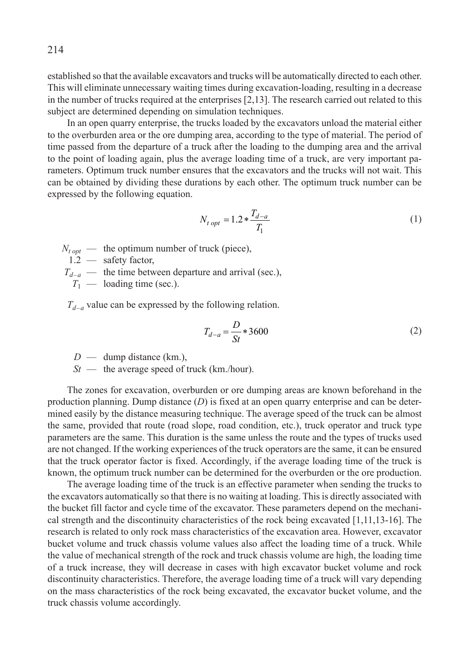established so that the available excavators and trucks will be automatically directed to each other. This will eliminate unnecessary waiting times during excavation-loading, resulting in a decrease in the number of trucks required at the enterprises [2,13]. The research carried out related to this subject are determined depending on simulation techniques.

In an open quarry enterprise, the trucks loaded by the excavators unload the material either to the overburden area or the ore dumping area, according to the type of material. The period of time passed from the departure of a truck after the loading to the dumping area and the arrival to the point of loading again, plus the average loading time of a truck, are very important parameters. Optimum truck number ensures that the excavators and the trucks will not wait. This can be obtained by dividing these durations by each other. The optimum truck number can be expressed by the following equation.

$$
N_{t\ opt} = 1.2 * \frac{T_{d-a}}{T_1} \tag{1}
$$

 $N_{t \text{ opt}}$  — the optimum number of truck (piece),

1.2 — safety factor,

 $T_{d-a}$  — the time between departure and arrival (sec.),

 $T_1$  — loading time (sec.).

 $T_{d-a}$  value can be expressed by the following relation.

$$
T_{d-a} = \frac{D}{St} * 3600
$$
 (2)

*D* — dump distance (km.),

*St* — the average speed of truck (km./hour).

The zones for excavation, overburden or ore dumping areas are known beforehand in the production planning. Dump distance (*D*) is fixed at an open quarry enterprise and can be determined easily by the distance measuring technique. The average speed of the truck can be almost the same, provided that route (road slope, road condition, etc.), truck operator and truck type parameters are the same. This duration is the same unless the route and the types of trucks used are not changed. If the working experiences of the truck operators are the same, it can be ensured that the truck operator factor is fixed. Accordingly, if the average loading time of the truck is known, the optimum truck number can be determined for the overburden or the ore production.

The average loading time of the truck is an effective parameter when sending the trucks to the excavators automatically so that there is no waiting at loading. This is directly associated with the bucket fill factor and cycle time of the excavator. These parameters depend on the mechanical strength and the discontinuity characteristics of the rock being excavated [1,11,13-16]. The research is related to only rock mass characteristics of the excavation area. However, excavator bucket volume and truck chassis volume values also affect the loading time of a truck. While the value of mechanical strength of the rock and truck chassis volume are high, the loading time of a truck increase, they will decrease in cases with high excavator bucket volume and rock discontinuity characteristics. Therefore, the average loading time of a truck will vary depending on the mass characteristics of the rock being excavated, the excavator bucket volume, and the truck chassis volume accordingly.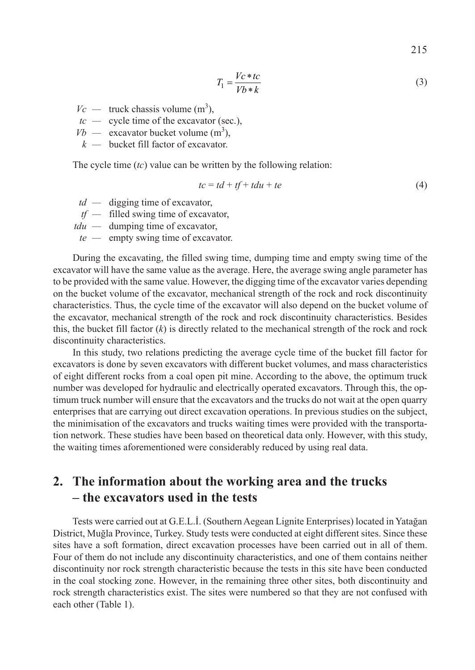215

$$
T_1 = \frac{Vc * tc}{Vb * k} \tag{3}
$$

- $Vc$  truck chassis volume (m<sup>3</sup>),
- *tc —* cycle time of the excavator (sec.),
- $Vb$  excavator bucket volume  $(m^3)$ ,
- *k —* bucket fill factor of excavator.

The cycle time (*tc*) value can be written by the following relation:

$$
tc = td + tf + tdu + te \tag{4}
$$

- *td —* digging time of excavator,
- *tf —* filled swing time of excavator,
- *tdu —* dumping time of excavator,
- *te —* empty swing time of excavator.

During the excavating, the filled swing time, dumping time and empty swing time of the excavator will have the same value as the average. Here, the average swing angle parameter has to be provided with the same value. However, the digging time of the excavator varies depending on the bucket volume of the excavator, mechanical strength of the rock and rock discontinuity characteristics. Thus, the cycle time of the excavator will also depend on the bucket volume of the excavator, mechanical strength of the rock and rock discontinuity characteristics. Besides this, the bucket fill factor  $(k)$  is directly related to the mechanical strength of the rock and rock discontinuity characteristics.

In this study, two relations predicting the average cycle time of the bucket fill factor for excavators is done by seven excavators with different bucket volumes, and mass characteristics of eight different rocks from a coal open pit mine. According to the above, the optimum truck number was developed for hydraulic and electrically operated excavators. Through this, the optimum truck number will ensure that the excavators and the trucks do not wait at the open quarry enterprises that are carrying out direct excavation operations. In previous studies on the subject, the minimisation of the excavators and trucks waiting times were provided with the transportation network. These studies have been based on theoretical data only. However, with this study, the waiting times aforementioned were considerably reduced by using real data.

# **2. The information about the working area and the trucks – the excavators used in the tests**

Tests were carried out at G.E.L.İ. (Southern Aegean Lignite Enterprises) located in Yatağan District, Muğla Province, Turkey. Study tests were conducted at eight different sites. Since these sites have a soft formation, direct excavation processes have been carried out in all of them. Four of them do not include any discontinuity characteristics, and one of them contains neither discontinuity nor rock strength characteristic because the tests in this site have been conducted in the coal stocking zone. However, in the remaining three other sites, both discontinuity and rock strength characteristics exist. The sites were numbered so that they are not confused with each other (Table 1).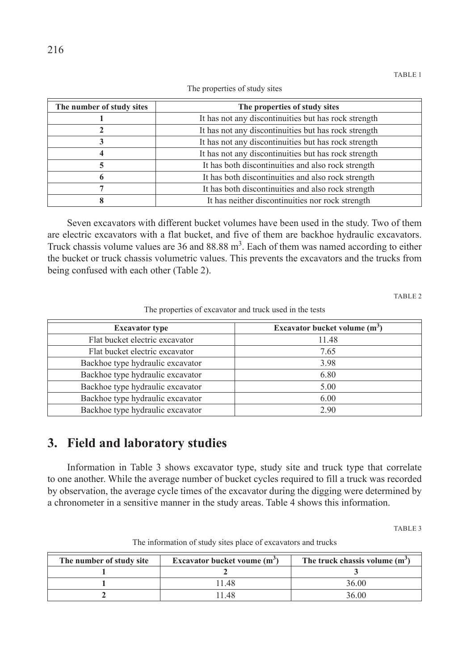| The number of study sites | The properties of study sites                        |
|---------------------------|------------------------------------------------------|
|                           | It has not any discontinuities but has rock strength |
| 2                         | It has not any discontinuities but has rock strength |
| 3                         | It has not any discontinuities but has rock strength |
| 4                         | It has not any discontinuities but has rock strength |
| 5                         | It has both discontinuities and also rock strength   |
| 6                         | It has both discontinuities and also rock strength   |
|                           | It has both discontinuities and also rock strength   |
| 8                         | It has neither discontinuities nor rock strength     |

The properties of study sites

Seven excavators with different bucket volumes have been used in the study. Two of them are electric excavators with a flat bucket, and five of them are backhoe hydraulic excavators. Truck chassis volume values are  $36$  and  $88.88 \text{ m}^3$ . Each of them was named according to either the bucket or truck chassis volumetric values. This prevents the excavators and the trucks from being confused with each other (Table 2).

TABLE 2

The properties of excavator and truck used in the tests

| <b>Excavator type</b>            | Excavator bucket volume $(m^3)$ |
|----------------------------------|---------------------------------|
| Flat bucket electric excavator   | 11.48                           |
| Flat bucket electric excavator   | 7.65                            |
| Backhoe type hydraulic excavator | 3.98                            |
| Backhoe type hydraulic excavator | 6.80                            |
| Backhoe type hydraulic excavator | 5.00                            |
| Backhoe type hydraulic excavator | 6.00                            |
| Backhoe type hydraulic excavator | 2.90                            |

# **3. Field and laboratory studies**

Information in Table 3 shows excavator type, study site and truck type that correlate to one another. While the average number of bucket cycles required to fill a truck was recorded by observation, the average cycle times of the excavator during the digging were determined by a chronometer in a sensitive manner in the study areas. Table 4 shows this information.

TABLE 3

| The number of study site | Excavator bucket voume $(m^3)$ | The truck chassis volume $(m^3)$ |  |
|--------------------------|--------------------------------|----------------------------------|--|
|                          |                                |                                  |  |
|                          | 11.48                          | 36.00                            |  |
|                          | 148                            | 36.00                            |  |

The information of study sites place of excavators and trucks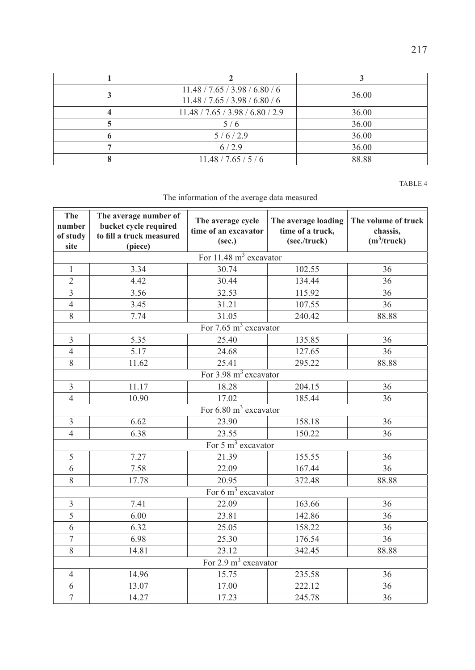| 11.48 / 7.65 / 3.98 / 6.80 / 6<br>11.48 / 7.65 / 3.98 / 6.80 / 6 | 36.00 |
|------------------------------------------------------------------|-------|
| 11.48 / 7.65 / 3.98 / 6.80 / 2.9                                 | 36.00 |
| 5/6                                                              | 36.00 |
| 5/6/2.9                                                          | 36.00 |
| 6/2.9                                                            | 36.00 |
| 11.48 / 7.65 / 5 / 6                                             | 88.88 |

TABLE 4

The information of the average data measured

| The<br>number<br>of study<br>site | The average number of<br>bucket cycle required<br>to fill a truck measured<br>(piece) | The average cycle<br>time of an excavator<br>(sec.) | The average loading<br>time of a truck,<br>(sec./truck) | The volume of truck<br>chassis,<br>$(m^3$ /truck) |
|-----------------------------------|---------------------------------------------------------------------------------------|-----------------------------------------------------|---------------------------------------------------------|---------------------------------------------------|
|                                   |                                                                                       | For $11.48 \text{ m}^3$ excavator                   |                                                         |                                                   |
| 1                                 | 3.34                                                                                  | 30.74                                               | 102.55                                                  | 36                                                |
| $\overline{c}$                    | 4.42                                                                                  | 30.44                                               | 134.44                                                  | 36                                                |
| $\overline{\mathbf{3}}$           | 3.56                                                                                  | 32.53                                               | 115.92                                                  | 36                                                |
| $\overline{4}$                    | 3.45                                                                                  | 31.21                                               | 107.55                                                  | 36                                                |
| 8                                 | 7.74                                                                                  | 31.05                                               | 240.42                                                  | 88.88                                             |
|                                   |                                                                                       | For $7.65 \text{ m}^3$ excavator                    |                                                         |                                                   |
| 3                                 | 5.35                                                                                  | 25.40                                               | 135.85                                                  | 36                                                |
| $\overline{4}$                    | 5.17                                                                                  | 24.68                                               | 127.65                                                  | 36                                                |
| 8                                 | 11.62                                                                                 | 25.41                                               | 295.22                                                  | 88.88                                             |
|                                   |                                                                                       | For $3.98 \text{ m}^3$ excavator                    |                                                         |                                                   |
| 3                                 | 11.17                                                                                 | 18.28                                               | 204.15                                                  | 36                                                |
| $\overline{4}$                    | 10.90                                                                                 | 17.02                                               | 185.44                                                  | 36                                                |
|                                   |                                                                                       | For $6.80 \text{ m}^3$ excavator                    |                                                         |                                                   |
| 3                                 | 6.62                                                                                  | 23.90                                               | 158.18                                                  | 36                                                |
| $\overline{4}$                    | 6.38                                                                                  | 23.55                                               | 150.22                                                  | 36                                                |
|                                   |                                                                                       | For $5 \text{ m}^3$ excavator                       |                                                         |                                                   |
| 5                                 | 7.27                                                                                  | 21.39                                               | 155.55                                                  | 36                                                |
| 6                                 | 7.58                                                                                  | 22.09                                               | 167.44                                                  | 36                                                |
| 8                                 | 17.78                                                                                 | 20.95                                               | 372.48                                                  | 88.88                                             |
|                                   |                                                                                       | For $6 \text{ m}^3$ excavator                       |                                                         |                                                   |
| 3                                 | 7.41                                                                                  | 22.09                                               | 163.66                                                  | 36                                                |
| $\overline{5}$                    | 6.00                                                                                  | 23.81                                               | 142.86                                                  | 36                                                |
| 6                                 | 6.32                                                                                  | 25.05                                               | 158.22                                                  | 36                                                |
| $\tau$                            | 6.98                                                                                  | 25.30                                               | 176.54                                                  | 36                                                |
| 8                                 | 14.81                                                                                 | 23.12                                               | 342.45                                                  | 88.88                                             |
|                                   |                                                                                       | For $2.9 \text{ m}^3$ excavator                     |                                                         |                                                   |
| $\overline{4}$                    | 14.96                                                                                 | 15.75                                               | 235.58                                                  | 36                                                |
| 6                                 | 13.07                                                                                 | 17.00                                               | 222.12                                                  | 36                                                |
| $\overline{7}$                    | 14.27                                                                                 | 17.23                                               | 245.78                                                  | 36                                                |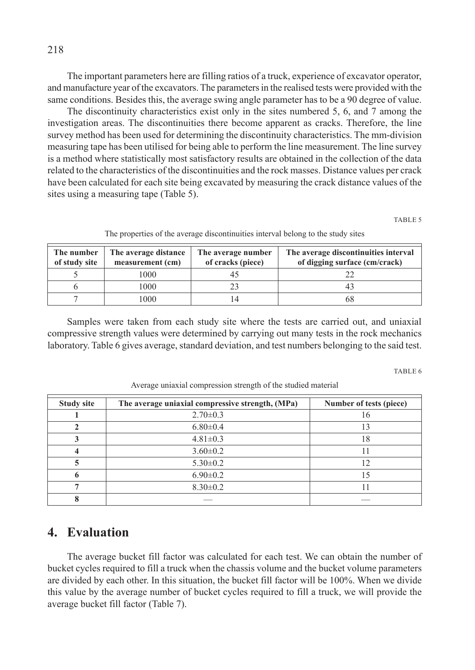The important parameters here are filling ratios of a truck, experience of excavator operator, and manufacture year of the excavators. The parameters in the realised tests were provided with the same conditions. Besides this, the average swing angle parameter has to be a 90 degree of value.

The discontinuity characteristics exist only in the sites numbered 5, 6, and 7 among the investigation areas. The discontinuities there become apparent as cracks. Therefore, the line survey method has been used for determining the discontinuity characteristics. The mm-division measuring tape has been utilised for being able to perform the line measurement. The line survey is a method where statistically most satisfactory results are obtained in the collection of the data related to the characteristics of the discontinuities and the rock masses. Distance values per crack have been calculated for each site being excavated by measuring the crack distance values of the sites using a measuring tape (Table 5).

TABLE 5

| The number<br>of study site | The average distance<br>measurement (cm) | The average number<br>of cracks (piece) | The average discontinuities interval<br>of digging surface (cm/crack) |
|-----------------------------|------------------------------------------|-----------------------------------------|-----------------------------------------------------------------------|
|                             | 000                                      |                                         |                                                                       |
|                             | 000                                      |                                         |                                                                       |
|                             | 000                                      |                                         | 68                                                                    |

The properties of the average discontinuities interval belong to the study sites

Samples were taken from each study site where the tests are carried out, and uniaxial compressive strength values were determined by carrying out many tests in the rock mechanics laboratory. Table 6 gives average, standard deviation, and test numbers belonging to the said test.

TABLE 6

| <b>Study site</b> | The average uniaxial compressive strength, (MPa) | Number of tests (piece) |
|-------------------|--------------------------------------------------|-------------------------|
|                   | $2.70 \pm 0.3$                                   |                         |
|                   | $6.80 \pm 0.4$                                   | 13                      |
|                   | $4.81 \pm 0.3$                                   | 18                      |
|                   | $3.60 \pm 0.2$                                   |                         |
|                   | $5.30 \pm 0.2$                                   | 12                      |
|                   | $6.90 \pm 0.2$                                   | 15                      |
|                   | $8.30 \pm 0.2$                                   |                         |
|                   |                                                  |                         |

Average uniaxial compression strength of the studied material

## **4. Evaluation**

The average bucket fill factor was calculated for each test. We can obtain the number of bucket cycles required to fill a truck when the chassis volume and the bucket volume parameters are divided by each other. In this situation, the bucket fill factor will be 100%. When we divide this value by the average number of bucket cycles required to fill a truck, we will provide the average bucket fill factor (Table 7).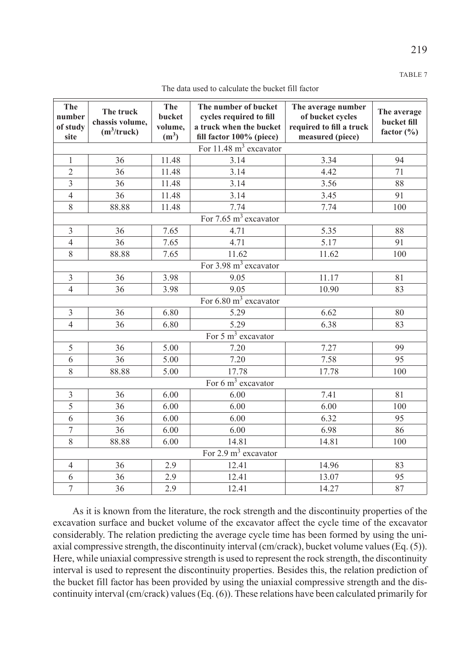219

| The data used to calculate the bucket fill factor |  |  |  |  |  |  |
|---------------------------------------------------|--|--|--|--|--|--|
|---------------------------------------------------|--|--|--|--|--|--|

| The<br>number<br>of study<br>site | The truck<br>chassis volume.<br>$(m^3$ /truck) | The<br>bucket<br>volume,<br>(m <sup>3</sup> ) | The number of bucket<br>cycles required to fill<br>a truck when the bucket<br>fill factor 100% (piece) | The average number<br>of bucket cycles<br>required to fill a truck<br>measured (piece) | The average<br>bucket fill<br>factor $(\% )$ |  |  |  |  |  |
|-----------------------------------|------------------------------------------------|-----------------------------------------------|--------------------------------------------------------------------------------------------------------|----------------------------------------------------------------------------------------|----------------------------------------------|--|--|--|--|--|
|                                   | For $11.48 \text{ m}^3$ excavator              |                                               |                                                                                                        |                                                                                        |                                              |  |  |  |  |  |
| $\mathbf{1}$                      | 36                                             | 11.48                                         | 3.14                                                                                                   | 3.34                                                                                   | 94                                           |  |  |  |  |  |
| $\overline{c}$                    | 36                                             | 11.48                                         | 3.14                                                                                                   | 4.42                                                                                   | 71                                           |  |  |  |  |  |
| $\overline{3}$                    | 36                                             | 11.48                                         | 3.14                                                                                                   | 3.56                                                                                   | 88                                           |  |  |  |  |  |
| $\overline{4}$                    | 36                                             | 11.48                                         | 3.14                                                                                                   | 3.45                                                                                   | 91                                           |  |  |  |  |  |
| 8                                 | 88.88                                          | 11.48                                         | 7.74                                                                                                   | 7.74                                                                                   | 100                                          |  |  |  |  |  |
|                                   |                                                |                                               | For $7.65 \text{ m}^3$ excavator                                                                       |                                                                                        |                                              |  |  |  |  |  |
| $\overline{3}$                    | 36                                             | 7.65                                          | 4.71                                                                                                   | 5.35                                                                                   | 88                                           |  |  |  |  |  |
| $\overline{4}$                    | 36                                             | 7.65                                          | 4.71                                                                                                   | 5.17                                                                                   | 91                                           |  |  |  |  |  |
| 8                                 | 88.88                                          | 7.65                                          | 11.62                                                                                                  | 11.62                                                                                  | 100                                          |  |  |  |  |  |
|                                   |                                                |                                               | For 3.98 m <sup>3</sup> excavator                                                                      |                                                                                        |                                              |  |  |  |  |  |
| 3                                 | 36                                             | 3.98                                          | 9.05                                                                                                   | 11.17                                                                                  | 81                                           |  |  |  |  |  |
| $\overline{4}$                    | 36                                             | 3.98                                          | 9.05                                                                                                   | 10.90                                                                                  | 83                                           |  |  |  |  |  |
|                                   |                                                |                                               | For $6.80 \text{ m}^3$ excavator                                                                       |                                                                                        |                                              |  |  |  |  |  |
| 3                                 | 36                                             | 6.80                                          | 5.29                                                                                                   | 6.62                                                                                   | 80                                           |  |  |  |  |  |
| $\overline{4}$                    | 36                                             | 6.80                                          | 5.29                                                                                                   | 6.38                                                                                   | 83                                           |  |  |  |  |  |
|                                   |                                                |                                               | For $5 \text{ m}^3$ excavator                                                                          |                                                                                        |                                              |  |  |  |  |  |
| 5                                 | 36                                             | 5.00                                          | 7.20                                                                                                   | 7.27                                                                                   | 99                                           |  |  |  |  |  |
| 6                                 | 36                                             | 5.00                                          | 7.20                                                                                                   | 7.58                                                                                   | 95                                           |  |  |  |  |  |
| 8                                 | 88.88                                          | 5.00                                          | 17.78                                                                                                  | 17.78                                                                                  | 100                                          |  |  |  |  |  |
|                                   |                                                |                                               | For $6 \text{ m}^3$ excavator                                                                          |                                                                                        |                                              |  |  |  |  |  |
| 3                                 | 36                                             | 6.00                                          | 6.00                                                                                                   | 7.41                                                                                   | 81                                           |  |  |  |  |  |
| 5                                 | 36                                             | 6.00                                          | 6.00                                                                                                   | 6.00                                                                                   | 100                                          |  |  |  |  |  |
| 6                                 | 36                                             | 6.00                                          | 6.00                                                                                                   | 6.32                                                                                   | 95                                           |  |  |  |  |  |
| $\overline{7}$                    | 36                                             | 6.00                                          | 6.00                                                                                                   | 6.98                                                                                   | 86                                           |  |  |  |  |  |
| 8                                 | 88.88                                          | 6.00                                          | 14.81                                                                                                  | 14.81                                                                                  | 100                                          |  |  |  |  |  |
|                                   |                                                |                                               | For $2.9 \text{ m}^3$ excavator                                                                        |                                                                                        |                                              |  |  |  |  |  |
| $\overline{4}$                    | 36                                             | 2.9                                           | 12.41                                                                                                  | 14.96                                                                                  | 83                                           |  |  |  |  |  |
| 6                                 | 36                                             | 2.9                                           | 12.41                                                                                                  | 13.07                                                                                  | 95                                           |  |  |  |  |  |
| $\overline{7}$                    | 36                                             | 2.9                                           | 12.41                                                                                                  | 14.27                                                                                  | 87                                           |  |  |  |  |  |

As it is known from the literature, the rock strength and the discontinuity properties of the excavation surface and bucket volume of the excavator affect the cycle time of the excavator considerably. The relation predicting the average cycle time has been formed by using the uniaxial compressive strength, the discontinuity interval (cm/crack), bucket volume values (Eq. (5)). Here, while uniaxial compressive strength is used to represent the rock strength, the discontinuity interval is used to represent the discontinuity properties. Besides this, the relation prediction of the bucket fill factor has been provided by using the uniaxial compressive strength and the discontinuity interval (cm/crack) values (Eq. (6)). These relations have been calculated primarily for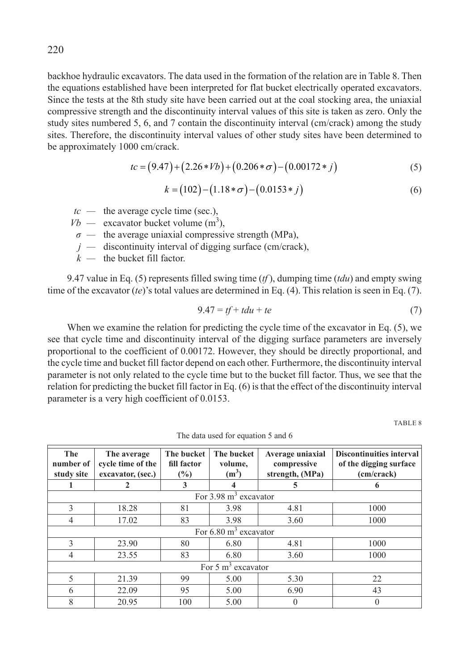backhoe hydraulic excavators. The data used in the formation of the relation are in Table 8. Then the equations established have been interpreted for flat bucket electrically operated excavators. Since the tests at the 8th study site have been carried out at the coal stocking area, the uniaxial compressive strength and the discontinuity interval values of this site is taken as zero. Only the study sites numbered 5, 6, and 7 contain the discontinuity interval (cm/crack) among the study sites. Therefore, the discontinuity interval values of other study sites have been determined to be approximately 1000 cm/crack.

$$
tc = (9.47) + (2.26 * Vb) + (0.206 * \sigma) - (0.00172 * j)
$$
\n<sup>(5)</sup>

$$
k = (102) - (1.18 * \sigma) - (0.0153 * j)
$$
\n<sup>(6)</sup>

- $tc$  the average cycle time (sec.),
- $Vb$  excavator bucket volume  $(m^3)$ ,
- *σ* the average uniaxial compressive strength (MPa),
- *j —* discontinuity interval of digging surface (cm/crack),
- *k —* the bucket fill factor.

9.47 value in Eq. (5) represents filled swing time (*tf* ), dumping time (*tdu*) and empty swing time of the excavator (*te*)'s total values are determined in Eq. (4). This relation is seen in Eq. (7).

$$
9.47 = tf + tdu + te \tag{7}
$$

When we examine the relation for predicting the cycle time of the excavator in Eq. (5), we see that cycle time and discontinuity interval of the digging surface parameters are inversely proportional to the coefficient of 0.00172. However, they should be directly proportional, and the cycle time and bucket fill factor depend on each other. Furthermore, the discontinuity interval parameter is not only related to the cycle time but to the bucket fill factor. Thus, we see that the relation for predicting the bucket fill factor in Eq. (6) is that the effect of the discontinuity interval parameter is a very high coefficient of 0.0153.

TABLE 8

| The<br>number of<br>study site | The average<br>cycle time of the<br>excavator, (sec.) | The bucket<br>fill factor<br>$\frac{6}{2}$ | The bucket<br>volume,<br>(m <sup>3</sup> ) | Average uniaxial<br>compressive<br>strength, (MPa) | <b>Discontinuities interval</b><br>of the digging surface<br>(cm/crack) |  |
|--------------------------------|-------------------------------------------------------|--------------------------------------------|--------------------------------------------|----------------------------------------------------|-------------------------------------------------------------------------|--|
|                                | $\mathbf{2}$                                          | 3                                          |                                            | 5                                                  | 6                                                                       |  |
|                                |                                                       |                                            | For $3.98 \text{ m}^3$ excavator           |                                                    |                                                                         |  |
| $\mathcal{E}$                  | 18.28                                                 | 81                                         | 3.98                                       | 4.81                                               | 1000                                                                    |  |
| $\overline{4}$                 | 17.02                                                 | 83                                         | 3.98                                       | 3.60                                               | 1000                                                                    |  |
|                                |                                                       |                                            | For $6.80 \text{ m}^3$ excavator           |                                                    |                                                                         |  |
| 3                              | 23.90                                                 | 80                                         | 6.80                                       | 4.81                                               | 1000                                                                    |  |
| $\overline{4}$                 | 23.55                                                 | 83                                         | 6.80                                       | 3.60                                               | 1000                                                                    |  |
|                                | For $5 \text{ m}^3$ excavator                         |                                            |                                            |                                                    |                                                                         |  |
| $\overline{5}$                 | 21.39                                                 | 99                                         | 5.00                                       | 5.30                                               | 22                                                                      |  |
| 6                              | 22.09                                                 | 95                                         | 5.00                                       | 6.90                                               | 43                                                                      |  |
| 8                              | 20.95                                                 | 100                                        | 5.00                                       | 0                                                  | $\theta$                                                                |  |

The data used for equation 5 and 6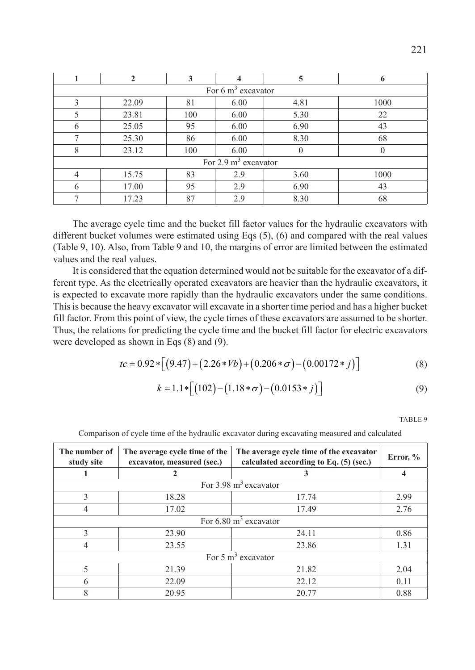|                | 2     | 3   |                               | 5        | 6    |
|----------------|-------|-----|-------------------------------|----------|------|
|                |       |     | For $6 \text{ m}^3$ excavator |          |      |
| 3              | 22.09 | 81  | 6.00                          | 4.81     | 1000 |
|                | 23.81 | 100 | 6.00                          | 5.30     | 22   |
| 6              | 25.05 | 95  | 6.00                          | 6.90     | 43   |
|                | 25.30 | 86  | 6.00                          | 8.30     | 68   |
| 8              | 23.12 | 100 | 6.00                          | $\theta$ |      |
|                |       |     | For 2.9 $m3$ excavator        |          |      |
| $\overline{4}$ | 15.75 | 83  | 2.9                           | 3.60     | 1000 |
| 6              | 17.00 | 95  | 2.9                           | 6.90     | 43   |
|                | 17.23 | 87  | 2.9                           | 8.30     | 68   |

The average cycle time and the bucket fill factor values for the hydraulic excavators with different bucket volumes were estimated using Eqs (5), (6) and compared with the real values (Table 9, 10). Also, from Table 9 and 10, the margins of error are limited between the estimated values and the real values.

It is considered that the equation determined would not be suitable for the excavator of a different type. As the electrically operated excavators are heavier than the hydraulic excavators, it is expected to excavate more rapidly than the hydraulic excavators under the same conditions. This is because the heavy excavator will excavate in a shorter time period and has a higher bucket fill factor. From this point of view, the cycle times of these excavators are assumed to be shorter. Thus, the relations for predicting the cycle time and the bucket fill factor for electric excavators were developed as shown in Eqs (8) and (9).

$$
tc = 0.92 * [(9.47) + (2.26 * Vb) + (0.206 * \sigma) - (0.00172 * j)]
$$
\n(8)

$$
k = 1.1 * [(102) - (1.18 * \sigma) - (0.0153 * j)]
$$
\n(9)

TABLE 9

| The number of<br>The average cycle time of the<br>study site<br>excavator, measured (sec.) |                      | The average cycle time of the excavator<br>calculated according to Eq. (5) (sec.) | Error, % |  |  |  |  |
|--------------------------------------------------------------------------------------------|----------------------|-----------------------------------------------------------------------------------|----------|--|--|--|--|
|                                                                                            |                      |                                                                                   |          |  |  |  |  |
|                                                                                            |                      | For $3.98 \text{ m}^3$ excavator                                                  |          |  |  |  |  |
| 3                                                                                          | 18.28                | 17.74                                                                             | 2.99     |  |  |  |  |
| $\overline{4}$                                                                             | 17.02                | 17.49                                                                             | 2.76     |  |  |  |  |
|                                                                                            |                      | For $6.80 \text{ m}^3$ excavator                                                  |          |  |  |  |  |
| 3                                                                                          | 23.90                | 24.11                                                                             | 0.86     |  |  |  |  |
| $\overline{4}$                                                                             | 23.55                | 23.86                                                                             | 1.31     |  |  |  |  |
|                                                                                            | For 5 $m3$ excavator |                                                                                   |          |  |  |  |  |
| 5                                                                                          | 21.39                | 21.82                                                                             | 2.04     |  |  |  |  |
| 6                                                                                          | 22.09                | 22.12                                                                             | 0.11     |  |  |  |  |
| 8                                                                                          | 20.95                | 20.77                                                                             | 0.88     |  |  |  |  |

Comparison of cycle time of the hydraulic excavator during excavating measured and calculated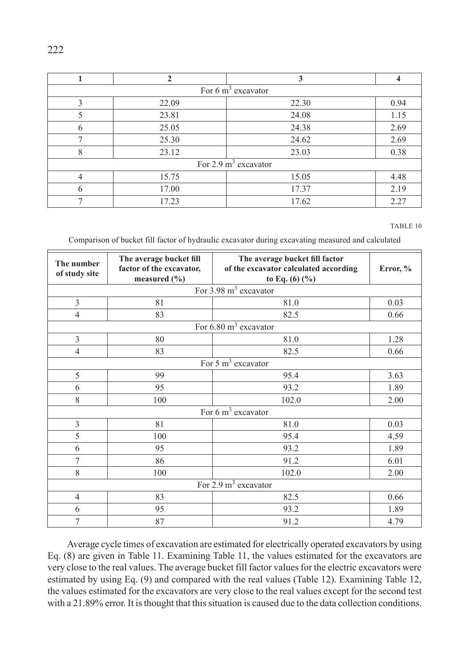|                                 | $\mathbf{2}$ | 3     |      |  |  |
|---------------------------------|--------------|-------|------|--|--|
| For $6 \text{ m}^3$ excavator   |              |       |      |  |  |
| 3                               | 22.09        | 22.30 | 0.94 |  |  |
| 5                               | 23.81        | 24.08 | 1.15 |  |  |
| 6                               | 25.05        | 24.38 | 2.69 |  |  |
| 7                               | 25.30        | 24.62 | 2.69 |  |  |
| 8                               | 23.12        | 23.03 | 0.38 |  |  |
| For $2.9 \text{ m}^3$ excavator |              |       |      |  |  |
| 4                               | 15.75        | 15.05 | 4.48 |  |  |
| 6                               | 17.00        | 17.37 | 2.19 |  |  |
|                                 | 17.23        | 17.62 | 2.27 |  |  |

TABLE 10

Comparison of bucket fill factor of hydraulic excavator during excavating measured and calculated

| The number<br>of study site     | The average bucket fill<br>factor of the excavator,<br>measured $(\% )$ | The average bucket fill factor<br>of the excavator calculated according<br>to Eq. $(6)(%$ | Error, % |  |
|---------------------------------|-------------------------------------------------------------------------|-------------------------------------------------------------------------------------------|----------|--|
|                                 |                                                                         | For $3.98 \text{ m}^3$ excavator                                                          |          |  |
| 3                               | 81                                                                      | 81.0                                                                                      | 0.03     |  |
| 4                               | 83                                                                      | 82.5                                                                                      | 0.66     |  |
|                                 |                                                                         | For $6.80 \text{ m}^3$ excavator                                                          |          |  |
| 3                               | 80                                                                      | 81.0                                                                                      | 1.28     |  |
| $\overline{4}$                  | 83                                                                      | 82.5                                                                                      | 0.66     |  |
|                                 |                                                                         | For $5 \text{ m}^3$ excavator                                                             |          |  |
| 5                               | 99                                                                      | 95.4                                                                                      | 3.63     |  |
| 6                               | 95                                                                      | 93.2                                                                                      | 1.89     |  |
| 8                               | 100                                                                     | 102.0                                                                                     | 2.00     |  |
| For $6 \text{ m}^3$ excavator   |                                                                         |                                                                                           |          |  |
| $\mathfrak{Z}$                  | 81                                                                      | 81.0                                                                                      | 0.03     |  |
| 5                               | 100                                                                     | 95.4                                                                                      | 4.59     |  |
| 6                               | 95                                                                      | 93.2                                                                                      | 1.89     |  |
| 7                               | 86                                                                      | 91.2                                                                                      | 6.01     |  |
| 8                               | 100                                                                     | 102.0                                                                                     | 2.00     |  |
| For $2.9 \text{ m}^3$ excavator |                                                                         |                                                                                           |          |  |
| $\overline{4}$                  | 83                                                                      | 82.5                                                                                      | 0.66     |  |
| 6                               | 95                                                                      | 93.2                                                                                      | 1.89     |  |
| 7                               | 87                                                                      | 91.2                                                                                      | 4.79     |  |

Average cycle times of excavation are estimated for electrically operated excavators by using Eq. (8) are given in Table 11. Examining Table 11, the values estimated for the excavators are very close to the real values. The average bucket fill factor values for the electric excavators were estimated by using Eq. (9) and compared with the real values (Table 12). Examining Table 12, the values estimated for the excavators are very close to the real values except for the second test with a 21.89% error. It is thought that this situation is caused due to the data collection conditions.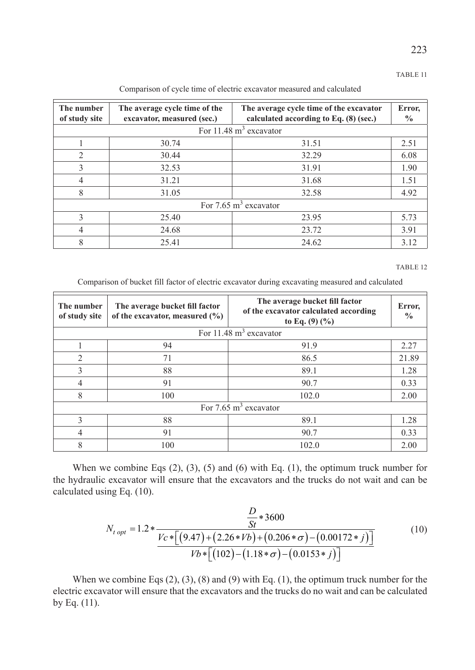#### TABLE 11

Comparison of cycle time of electric excavator measured and calculated

| The number<br>of study site      | The average cycle time of the<br>excavator, measured (sec.) | The average cycle time of the excavator<br>calculated according to Eq. $(8)$ (sec.) | Error,<br>$\%$ |  |  |
|----------------------------------|-------------------------------------------------------------|-------------------------------------------------------------------------------------|----------------|--|--|
| For 11.48 $m3$ excavator         |                                                             |                                                                                     |                |  |  |
|                                  | 30.74                                                       | 31.51                                                                               | 2.51           |  |  |
| $\mathcal{L}$                    | 30.44                                                       | 32.29                                                                               | 6.08           |  |  |
| $\mathcal{E}$                    | 32.53                                                       | 31.91                                                                               | 1.90           |  |  |
| $\overline{4}$                   | 31.21                                                       | 31.68                                                                               | 1.51           |  |  |
| 8                                | 31.05                                                       | 32.58                                                                               | 4.92           |  |  |
| For $7.65 \text{ m}^3$ excavator |                                                             |                                                                                     |                |  |  |
| 3                                | 25.40                                                       | 23.95                                                                               | 5.73           |  |  |
| 4                                | 24.68                                                       | 23.72                                                                               | 3.91           |  |  |
| 8                                | 25.41                                                       | 24.62                                                                               | 3.12           |  |  |

#### TABLE 12

Comparison of bucket fill factor of electric excavator during excavating measured and calculated

| The number<br>of study site      | The average bucket fill factor<br>of the excavator, measured $(\% )$ | The average bucket fill factor<br>of the excavator calculated according<br>to Eq. $(9)(\%)$ | Error,<br>$\frac{0}{0}$ |  |  |
|----------------------------------|----------------------------------------------------------------------|---------------------------------------------------------------------------------------------|-------------------------|--|--|
| For 11.48 $m3$ excavator         |                                                                      |                                                                                             |                         |  |  |
|                                  | 94                                                                   | 91.9                                                                                        | 2.27                    |  |  |
| $\mathfrak{D}_{1}^{(1)}$         | 71                                                                   | 86.5                                                                                        | 21.89                   |  |  |
| 3                                | 88                                                                   | 89.1                                                                                        | 1.28                    |  |  |
| 4                                | 91                                                                   | 90.7                                                                                        | 0.33                    |  |  |
| 8                                | 100                                                                  | 102.0                                                                                       | 2.00                    |  |  |
| For $7.65 \text{ m}^3$ excavator |                                                                      |                                                                                             |                         |  |  |
| 3                                | 88                                                                   | 89.1                                                                                        | 1.28                    |  |  |
|                                  | 91                                                                   | 90.7                                                                                        | 0.33                    |  |  |
| 8                                | 100                                                                  | 102.0                                                                                       | 2.00                    |  |  |

When we combine Eqs (2), (3), (5) and (6) with Eq. (1), the optimum truck number for the hydraulic excavator will ensure that the excavators and the trucks do not wait and can be calculated using Eq. (10).

$$
N_{t\ opt} = 1.2 * \frac{\frac{D}{St} * 3600}{Vc * [(9.47) + (2.26 * Vb) + (0.206 * \sigma) - (0.00172 * j)]}
$$
(10)  

$$
Vb * [(102) - (1.18 * \sigma) - (0.0153 * j)]
$$

When we combine Eqs  $(2)$ ,  $(3)$ ,  $(8)$  and  $(9)$  with Eq.  $(1)$ , the optimum truck number for the electric excavator will ensure that the excavators and the trucks do no wait and can be calculated by Eq. (11).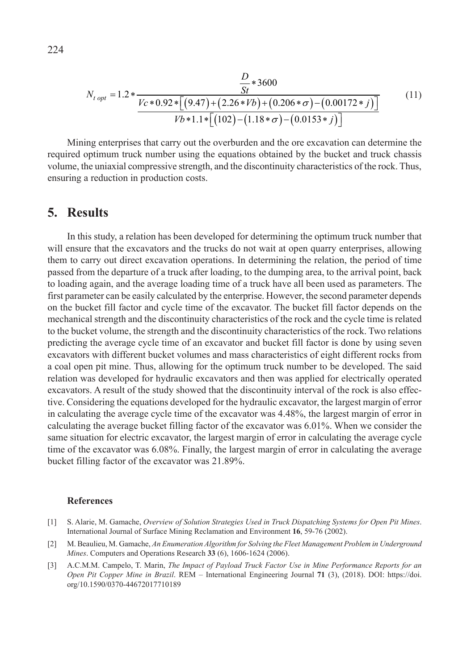$$
N_{t\ opt} = 1.2 * \frac{D}{Vc * 0.92 * [(9.47) + (2.26 * Vb) + (0.206 * \sigma) - (0.00172 * j)]}
$$
(11)  

$$
Vb * 1.1 * [(102) - (1.18 * \sigma) - (0.0153 * j)]
$$

Mining enterprises that carry out the overburden and the ore excavation can determine the required optimum truck number using the equations obtained by the bucket and truck chassis volume, the uniaxial compressive strength, and the discontinuity characteristics of the rock. Thus, ensuring a reduction in production costs.

### **5. Results**

In this study, a relation has been developed for determining the optimum truck number that will ensure that the excavators and the trucks do not wait at open quarry enterprises, allowing them to carry out direct excavation operations. In determining the relation, the period of time passed from the departure of a truck after loading, to the dumping area, to the arrival point, back to loading again, and the average loading time of a truck have all been used as parameters. The first parameter can be easily calculated by the enterprise. However, the second parameter depends on the bucket fill factor and cycle time of the excavator. The bucket fill factor depends on the mechanical strength and the discontinuity characteristics of the rock and the cycle time is related to the bucket volume, the strength and the discontinuity characteristics of the rock. Two relations predicting the average cycle time of an excavator and bucket fill factor is done by using seven excavators with different bucket volumes and mass characteristics of eight different rocks from a coal open pit mine. Thus, allowing for the optimum truck number to be developed. The said relation was developed for hydraulic excavators and then was applied for electrically operated excavators. A result of the study showed that the discontinuity interval of the rock is also effective. Considering the equations developed for the hydraulic excavator, the largest margin of error in calculating the average cycle time of the excavator was 4.48%, the largest margin of error in calculating the average bucket filling factor of the excavator was 6.01%. When we consider the same situation for electric excavator, the largest margin of error in calculating the average cycle time of the excavator was 6.08%. Finally, the largest margin of error in calculating the average bucket filling factor of the excavator was 21.89%.

#### **References**

- [1] S. Alarie, M. Gamache, *Overview of Solution Strategies Used in Truck Dispatching Systems for Open Pit Mines*. International Journal of Surface Mining Reclamation and Environment **16**, 59-76 (2002).
- [2] M. Beaulieu, M. Gamache, *An Enumeration Algorithm for Solving the Fleet Management Problem in Underground Mines*. Computers and Operations Research **33** (6), 1606-1624 (2006).
- [3] A.C.M.M. Campelo, T. Marin, *The Impact of Payload Truck Factor Use in Mine Performance Reports for an Open Pit Copper Mine in Brazil*. [REM – International Engineering Journal](http://www.scielo.br/scielo.php?script=sci_serial&pid=2448-167X&lng=en&nrm=iso) **71** (3), (2018). DOI: https://doi. org/10.1590/0370-44672017710189